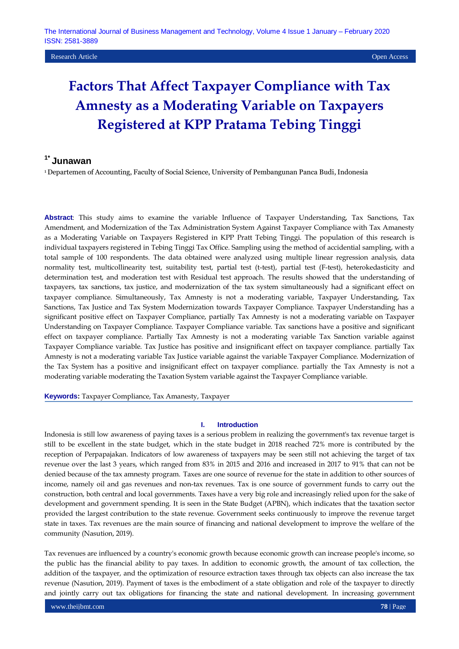# **Factors That Affect Taxpayer Compliance with Tax Amnesty as a Moderating Variable on Taxpayers Registered at KPP Pratama Tebing Tinggi**

## **1\* Junawan**

<sup>1</sup> Departemen of Accounting, Faculty of Social Science, University of Pembangunan Panca Budi, Indonesia

**Abstract**: This study aims to examine the variable Influence of Taxpayer Understanding, Tax Sanctions, Tax Amendment, and Modernization of the Tax Administration System Against Taxpayer Compliance with Tax Amanesty as a Moderating Variable on Taxpayers Registered in KPP Pratt Tebing Tinggi. The population of this research is individual taxpayers registered in Tebing Tinggi Tax Office. Sampling using the method of accidential sampling, with a total sample of 100 respondents. The data obtained were analyzed using multiple linear regression analysis, data normality test, multicollinearity test, suitability test, partial test (t-test), partial test (F-test), heterokedasticity and determination test, and moderation test with Residual test approach. The results showed that the understanding of taxpayers, tax sanctions, tax justice, and modernization of the tax system simultaneously had a significant effect on taxpayer compliance. Simultaneously, Tax Amnesty is not a moderating variable, Taxpayer Understanding, Tax Sanctions, Tax Justice and Tax System Modernization towards Taxpayer Compliance. Taxpayer Understanding has a significant positive effect on Taxpayer Compliance, partially Tax Amnesty is not a moderating variable on Taxpayer Understanding on Taxpayer Compliance. Taxpayer Compliance variable. Tax sanctions have a positive and significant effect on taxpayer compliance. Partially Tax Amnesty is not a moderating variable Tax Sanction variable against Taxpayer Compliance variable. Tax Justice has positive and insignificant effect on taxpayer compliance. partially Tax Amnesty is not a moderating variable Tax Justice variable against the variable Taxpayer Compliance. Modernization of the Tax System has a positive and insignificant effect on taxpayer compliance. partially the Tax Amnesty is not a moderating variable moderating the Taxation System variable against the Taxpayer Compliance variable.

**Keywords:** Taxpayer Compliance, Tax Amanesty, Taxpayer

#### **I. Introduction**

Indonesia is still low awareness of paying taxes is a serious problem in realizing the government's tax revenue target is still to be excellent in the state budget, which in the state budget in 2018 reached 72% more is contributed by the reception of Perpapajakan. Indicators of low awareness of taxpayers may be seen still not achieving the target of tax revenue over the last 3 years, which ranged from 83% in 2015 and 2016 and increased in 2017 to 91% that can not be denied because of the tax amnesty program. Taxes are one source of revenue for the state in addition to other sources of income, namely oil and gas revenues and non-tax revenues. Tax is one source of government funds to carry out the construction, both central and local governments. Taxes have a very big role and increasingly relied upon for the sake of development and government spending. It is seen in the State Budget (APBN), which indicates that the taxation sector provided the largest contribution to the state revenue. Government seeks continuously to improve the revenue target state in taxes. Tax revenues are the main source of financing and national development to improve the welfare of the community (Nasution, 2019).

Tax revenues are influenced by a country's economic growth because economic growth can increase people's income, so the public has the financial ability to pay taxes. In addition to economic growth, the amount of tax collection, the addition of the taxpayer, and the optimization of resource extraction taxes through tax objects can also increase the tax revenue (Nasution, 2019). Payment of taxes is the embodiment of a state obligation and role of the taxpayer to directly and jointly carry out tax obligations for financing the state and national development. In increasing government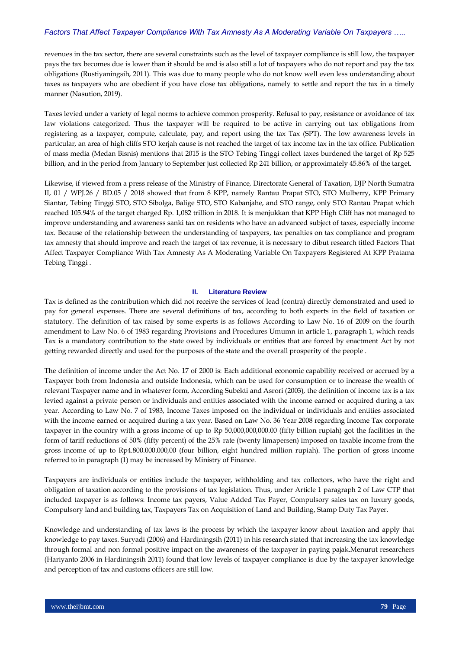revenues in the tax sector, there are several constraints such as the level of taxpayer compliance is still low, the taxpayer pays the tax becomes due is lower than it should be and is also still a lot of taxpayers who do not report and pay the tax obligations (Rustiyaningsih, 2011). This was due to many people who do not know well even less understanding about taxes as taxpayers who are obedient if you have close tax obligations, namely to settle and report the tax in a timely manner (Nasution, 2019).

Taxes levied under a variety of legal norms to achieve common prosperity. Refusal to pay, resistance or avoidance of tax law violations categorized. Thus the taxpayer will be required to be active in carrying out tax obligations from registering as a taxpayer, compute, calculate, pay, and report using the tax Tax (SPT). The low awareness levels in particular, an area of high cliffs STO kerjah cause is not reached the target of tax income tax in the tax office. Publication of mass media (Medan Bisnis) mentions that 2015 is the STO Tebing Tinggi collect taxes burdened the target of Rp 525 billion, and in the period from January to September just collected Rp 241 billion, or approximately 45.86% of the target.

Likewise, if viewed from a press release of the Ministry of Finance, Directorate General of Taxation, DJP North Sumatra II, 01 / WPJ.26 / BD.05 / 2018 showed that from 8 KPP, namely Rantau Prapat STO, STO Mulberry, KPP Primary Siantar, Tebing Tinggi STO, STO Sibolga, Balige STO, STO Kabanjahe, and STO range, only STO Rantau Prapat which reached 105.94% of the target charged Rp. 1,082 trillion in 2018. It is menjukkan that KPP High Cliff has not managed to improve understanding and awareness sanki tax on residents who have an advanced subject of taxes, especially income tax. Because of the relationship between the understanding of taxpayers, tax penalties on tax compliance and program tax amnesty that should improve and reach the target of tax revenue, it is necessary to dibut research titled Factors That Affect Taxpayer Compliance With Tax Amnesty As A Moderating Variable On Taxpayers Registered At KPP Pratama Tebing Tinggi .

#### **II. Literature Review**

Tax is defined as the contribution which did not receive the services of lead (contra) directly demonstrated and used to pay for general expenses. There are several definitions of tax, according to both experts in the field of taxation or statutory. The definition of tax raised by some experts is as follows According to Law No. 16 of 2009 on the fourth amendment to Law No. 6 of 1983 regarding Provisions and Procedures Umumn in article 1, paragraph 1, which reads Tax is a mandatory contribution to the state owed by individuals or entities that are forced by enactment Act by not getting rewarded directly and used for the purposes of the state and the overall prosperity of the people .

The definition of income under the Act No. 17 of 2000 is: Each additional economic capability received or accrued by a Taxpayer both from Indonesia and outside Indonesia, which can be used for consumption or to increase the wealth of relevant Taxpayer name and in whatever form, According Subekti and Asrori (2003), the definition of income tax is a tax levied against a private person or individuals and entities associated with the income earned or acquired during a tax year. According to Law No. 7 of 1983, Income Taxes imposed on the individual or individuals and entities associated with the income earned or acquired during a tax year. Based on Law No. 36 Year 2008 regarding Income Tax corporate taxpayer in the country with a gross income of up to Rp 50,000,000,000.00 (fifty billion rupiah) got the facilities in the form of tariff reductions of 50% (fifty percent) of the 25% rate (twenty limapersen) imposed on taxable income from the gross income of up to Rp4.800.000.000,00 (four billion, eight hundred million rupiah). The portion of gross income referred to in paragraph (1) may be increased by Ministry of Finance.

Taxpayers are individuals or entities include the taxpayer, withholding and tax collectors, who have the right and obligation of taxation according to the provisions of tax legislation. Thus, under Article 1 paragraph 2 of Law CTP that included taxpayer is as follows: Income tax payers, Value Added Tax Payer, Compulsory sales tax on luxury goods, Compulsory land and building tax, Taxpayers Tax on Acquisition of Land and Building, Stamp Duty Tax Payer.

Knowledge and understanding of tax laws is the process by which the taxpayer know about taxation and apply that knowledge to pay taxes. Suryadi (2006) and Hardiningsih (2011) in his research stated that increasing the tax knowledge through formal and non formal positive impact on the awareness of the taxpayer in paying pajak.Menurut researchers (Hariyanto 2006 in Hardiningsih 2011) found that low levels of taxpayer compliance is due by the taxpayer knowledge and perception of tax and customs officers are still low.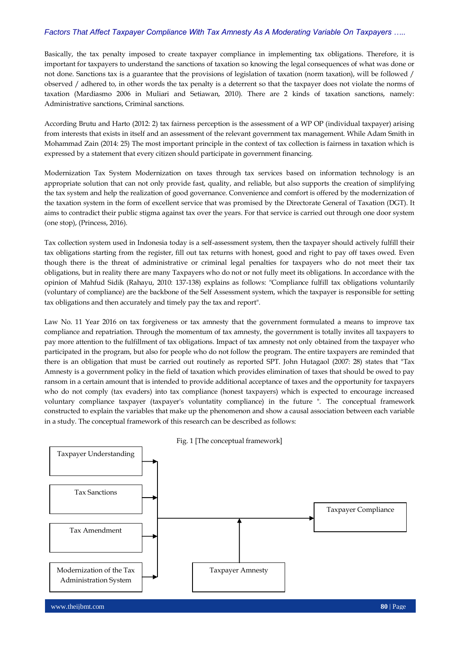Basically, the tax penalty imposed to create taxpayer compliance in implementing tax obligations. Therefore, it is important for taxpayers to understand the sanctions of taxation so knowing the legal consequences of what was done or not done. Sanctions tax is a guarantee that the provisions of legislation of taxation (norm taxation), will be followed / observed / adhered to, in other words the tax penalty is a deterrent so that the taxpayer does not violate the norms of taxation (Mardiasmo 2006 in Muliari and Setiawan, 2010). There are 2 kinds of taxation sanctions, namely: Administrative sanctions, Criminal sanctions.

According Brutu and Harto (2012: 2) tax fairness perception is the assessment of a WP OP (individual taxpayer) arising from interests that exists in itself and an assessment of the relevant government tax management. While Adam Smith in Mohammad Zain (2014: 25) The most important principle in the context of tax collection is fairness in taxation which is expressed by a statement that every citizen should participate in government financing.

Modernization Tax System Modernization on taxes through tax services based on information technology is an appropriate solution that can not only provide fast, quality, and reliable, but also supports the creation of simplifying the tax system and help the realization of good governance. Convenience and comfort is offered by the modernization of the taxation system in the form of excellent service that was promised by the Directorate General of Taxation (DGT). It aims to contradict their public stigma against tax over the years. For that service is carried out through one door system (one stop), (Princess, 2016).

Tax collection system used in Indonesia today is a self-assessment system, then the taxpayer should actively fulfill their tax obligations starting from the register, fill out tax returns with honest, good and right to pay off taxes owed. Even though there is the threat of administrative or criminal legal penalties for taxpayers who do not meet their tax obligations, but in reality there are many Taxpayers who do not or not fully meet its obligations. In accordance with the opinion of Mahfud Sidik (Rahayu, 2010: 137-138) explains as follows: "Compliance fulfill tax obligations voluntarily (voluntary of compliance) are the backbone of the Self Assessment system, which the taxpayer is responsible for setting tax obligations and then accurately and timely pay the tax and report".

Law No. 11 Year 2016 on tax forgiveness or tax amnesty that the government formulated a means to improve tax compliance and repatriation. Through the momentum of tax amnesty, the government is totally invites all taxpayers to pay more attention to the fulfillment of tax obligations. Impact of tax amnesty not only obtained from the taxpayer who participated in the program, but also for people who do not follow the program. The entire taxpayers are reminded that there is an obligation that must be carried out routinely as reported SPT. John Hutagaol (2007: 28) states that "Tax Amnesty is a government policy in the field of taxation which provides elimination of taxes that should be owed to pay ransom in a certain amount that is intended to provide additional acceptance of taxes and the opportunity for taxpayers who do not comply (tax evaders) into tax compliance (honest taxpayers) which is expected to encourage increased voluntary compliance taxpayer (taxpayer's voluntatity compliance) in the future ". The conceptual framework constructed to explain the variables that make up the phenomenon and show a causal association between each variable in a study. The conceptual framework of this research can be described as follows:

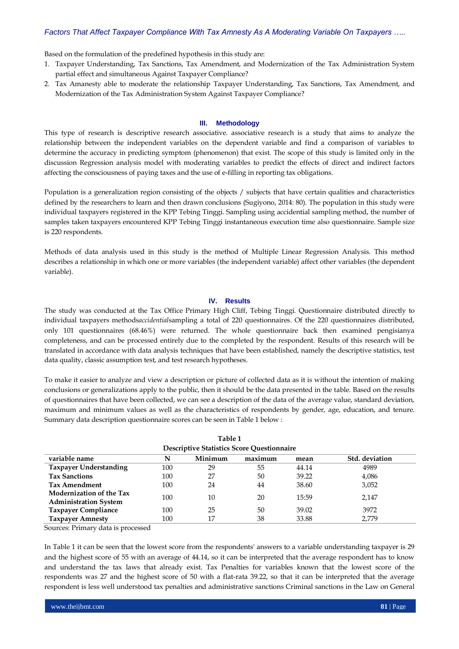Based on the formulation of the predefined hypothesis in this study are:

- 1. Taxpayer Understanding, Tax Sanctions, Tax Amendment, and Modernization of the Tax Administration System partial effect and simultaneous Against Taxpayer Compliance?
- 2. Tax Amanesty able to moderate the relationship Taxpayer Understanding, Tax Sanctions, Tax Amendment, and Modernization of the Tax Administration System Against Taxpayer Compliance?

#### **III. Methodology**

This type of research is descriptive research associative. associative research is a study that aims to analyze the relationship between the independent variables on the dependent variable and find a comparison of variables to determine the accuracy in predicting symptom (phenomenon) that exist. The scope of this study is limited only in the discussion Regression analysis model with moderating variables to predict the effects of direct and indirect factors affecting the consciousness of paying taxes and the use of e-filling in reporting tax obligations.

Population is a generalization region consisting of the objects / subjects that have certain qualities and characteristics defined by the researchers to learn and then drawn conclusions (Sugiyono, 2014: 80). The population in this study were individual taxpayers registered in the KPP Tebing Tinggi. Sampling using accidential sampling method, the number of samples taken taxpayers encountered KPP Tebing Tinggi instantaneous execution time also questionnaire. Sample size is 220 respondents.

Methods of data analysis used in this study is the method of Multiple Linear Regression Analysis. This method describes a relationship in which one or more variables (the independent variable) affect other variables (the dependent variable).

#### **IV. Results**

The study was conducted at the Tax Office Primary High Cliff, Tebing Tinggi. Questionnaire distributed directly to individual taxpayers methods*accidential*sampling a total of 220 questionnaires. Of the 220 questionnaires distributed, only 101 questionnaires (68.46%) were returned. The whole questionnaire back then examined pengisianya completeness, and can be processed entirely due to the completed by the respondent. Results of this research will be translated in accordance with data analysis techniques that have been established, namely the descriptive statistics, test data quality, classic assumption test, and test research hypotheses.

To make it easier to analyze and view a description or picture of collected data as it is without the intention of making conclusions or generalizations apply to the public, then it should be the data presented in the table. Based on the results of questionnaires that have been collected, we can see a description of the data of the average value, standard deviation, maximum and minimum values as well as the characteristics of respondents by gender, age, education, and tenure. Summary data description questionnaire scores can be seen in Table 1 below :

**Table 1**

| <b>Descriptive Statistics Score Questionnaire</b>        |     |         |         |       |                |  |
|----------------------------------------------------------|-----|---------|---------|-------|----------------|--|
| variable name                                            | N   | Minimum | maximum | mean  | Std. deviation |  |
| <b>Taxpayer Understanding</b>                            | 100 | 29      | 55      | 44.14 | 4989           |  |
| <b>Tax Sanctions</b>                                     | 100 | 27      | 50      | 39.22 | 4,086          |  |
| <b>Tax Amendment</b>                                     | 100 | 24      | 44      | 38.60 | 3,052          |  |
| Modernization of the Tax<br><b>Administration System</b> | 100 | 10      | 20      | 15:59 | 2,147          |  |
| <b>Taxpayer Compliance</b>                               | 100 | 25      | 50      | 39.02 | 3972           |  |
| <b>Taxpayer Amnesty</b>                                  | 100 | 17      | 38      | 33.88 | 2.779          |  |

Sources: Primary data is processed

In Table 1 it can be seen that the lowest score from the respondents' answers to a variable understanding taxpayer is 29 and the highest score of 55 with an average of 44.14, so it can be interpreted that the average respondent has to know and understand the tax laws that already exist. Tax Penalties for variables known that the lowest score of the respondents was 27 and the highest score of 50 with a flat-rata 39.22, so that it can be interpreted that the average respondent is less well understood tax penalties and administrative sanctions Criminal sanctions in the Law on General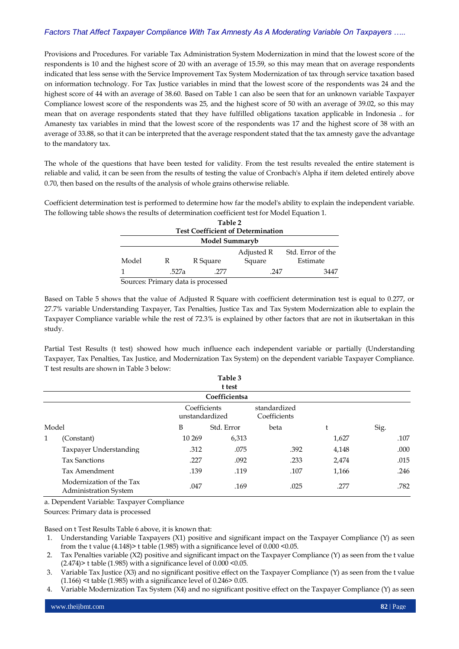Provisions and Procedures. For variable Tax Administration System Modernization in mind that the lowest score of the respondents is 10 and the highest score of 20 with an average of 15.59, so this may mean that on average respondents indicated that less sense with the Service Improvement Tax System Modernization of tax through service taxation based on information technology. For Tax Justice variables in mind that the lowest score of the respondents was 24 and the highest score of 44 with an average of 38.60. Based on Table 1 can also be seen that for an unknown variable Taxpayer Compliance lowest score of the respondents was 25, and the highest score of 50 with an average of 39.02, so this may mean that on average respondents stated that they have fulfilled obligations taxation applicable in Indonesia .. for Amanesty tax variables in mind that the lowest score of the respondents was 17 and the highest score of 38 with an average of 33.88, so that it can be interpreted that the average respondent stated that the tax amnesty gave the advantage to the mandatory tax.

The whole of the questions that have been tested for validity. From the test results revealed the entire statement is reliable and valid, it can be seen from the results of testing the value of Cronbach's Alpha if item deleted entirely above 0.70, then based on the results of the analysis of whole grains otherwise reliable.

Coefficient determination test is performed to determine how far the model's ability to explain the independent variable. The following table shows the results of determination coefficient test for Model Equation 1.

| Table 2<br><b>Test Coefficient of Determination</b> |                                     |          |            |                   |  |  |  |
|-----------------------------------------------------|-------------------------------------|----------|------------|-------------------|--|--|--|
| Model Summaryb                                      |                                     |          |            |                   |  |  |  |
|                                                     |                                     |          | Adjusted R | Std. Error of the |  |  |  |
| Model                                               | R                                   | R Square | Square     | Estimate          |  |  |  |
|                                                     | .527a                               | .277     | .247       | 3447              |  |  |  |
|                                                     | Courses Drive and Jake to me accord |          |            |                   |  |  |  |

Sources: Primary data is processed

Based on Table 5 shows that the value of Adjusted R Square with coefficient determination test is equal to 0.277, or 27.7% variable Understanding Taxpayer, Tax Penalties, Justice Tax and Tax System Modernization able to explain the Taxpayer Compliance variable while the rest of 72.3% is explained by other factors that are not in ikutsertakan in this study.

Partial Test Results (t test) showed how much influence each independent variable or partially (Understanding Taxpayer, Tax Penalties, Tax Justice, and Modernization Tax System) on the dependent variable Taxpayer Compliance. T test results are shown in Table 3 below:

|       |                                                   |                                | Table 3<br>t test |                              |       |      |
|-------|---------------------------------------------------|--------------------------------|-------------------|------------------------------|-------|------|
|       |                                                   |                                | Coefficientsa     |                              |       |      |
|       |                                                   | Coefficients<br>unstandardized |                   | standardized<br>Coefficients |       |      |
| Model |                                                   | B                              | Std. Error        | beta                         | t     | Sig. |
| 1     | (Constant)                                        | 10 269                         | 6,313             |                              | 1,627 | .107 |
|       | Taxpayer Understanding                            | .312                           | .075              | .392                         | 4,148 | .000 |
|       | <b>Tax Sanctions</b>                              | .227                           | .092              | .233                         | 2,474 | .015 |
|       | Tax Amendment                                     | .139                           | .119              | .107                         | 1,166 | .246 |
|       | Modernization of the Tax<br>Administration System | .047                           | .169              | .025                         | .277  | .782 |

a. Dependent Variable: Taxpayer Compliance

Sources: Primary data is processed

Based on t Test Results Table 6 above, it is known that:

- 1. Understanding Variable Taxpayers (X1) positive and significant impact on the Taxpayer Compliance (Y) as seen from the t value  $(4.148)$  t table  $(1.985)$  with a significance level of  $0.000 \le 0.05$ .
- 2. Tax Penalties variable (X2) positive and significant impact on the Taxpayer Compliance (Y) as seen from the t value  $(2.474)$  t table  $(1.985)$  with a significance level of  $0.000$  < 0.05.
- 3. Variable Tax Justice (X3) and no significant positive effect on the Taxpayer Compliance (Y) as seen from the t value  $(1.166)$  <t table  $(1.985)$  with a significance level of 0.246> 0.05.
- 4. Variable Modernization Tax System (X4) and no significant positive effect on the Taxpayer Compliance (Y) as seen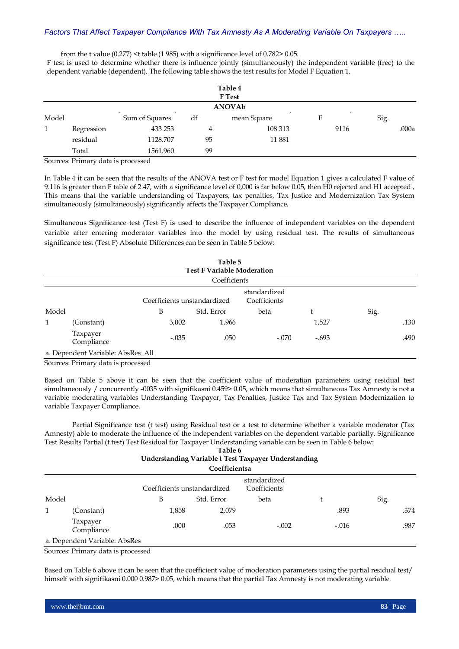from the t value (0.277) <t table (1.985) with a significance level of 0.782> 0.05.

F test is used to determine whether there is influence jointly (simultaneously) the independent variable (free) to the dependent variable (dependent). The following table shows the test results for Model F Equation 1.

|       |            |                |    | Table 4<br><b>F</b> Test |      |       |  |  |
|-------|------------|----------------|----|--------------------------|------|-------|--|--|
|       | ANOVAb     |                |    |                          |      |       |  |  |
| Model |            | Sum of Squares | df | mean Square              | F    | Sig.  |  |  |
|       | Regression | 433 253        | 4  | 108 313                  | 9116 | .000a |  |  |
|       | residual   | 1128.707       | 95 | 11881                    |      |       |  |  |
|       | Total      | 1561.960       | 99 |                          |      |       |  |  |

Sources: Primary data is processed

In Table 4 it can be seen that the results of the ANOVA test or F test for model Equation 1 gives a calculated F value of 9.116 is greater than F table of 2.47, with a significance level of 0,000 is far below 0.05, then H0 rejected and H1 accepted , This means that the variable understanding of Taxpayers, tax penalties, Tax Justice and Modernization Tax System simultaneously (simultaneously) significantly affects the Taxpayer Compliance.

Simultaneous Significance test (Test F) is used to describe the influence of independent variables on the dependent variable after entering moderator variables into the model by using residual test. The results of simultaneous significance test (Test F) Absolute Differences can be seen in Table 5 below:

|       |                                   |                             | Table 5<br><b>Test F Variable Moderation</b> |                              |         |      |      |
|-------|-----------------------------------|-----------------------------|----------------------------------------------|------------------------------|---------|------|------|
|       |                                   |                             | Coefficients                                 |                              |         |      |      |
|       |                                   | Coefficients unstandardized |                                              | standardized<br>Coefficients |         |      |      |
| Model |                                   | B                           | Std. Error                                   | beta                         | Ł       | Sig. |      |
| 1     | (Constant)                        | 3,002                       | 1,966                                        |                              | 1,527   |      | .130 |
|       | Taxpayer<br>Compliance            | $-.035$                     | .050                                         | $-.070$                      | $-.693$ |      | .490 |
|       | a. Dependent Variable: AbsRes_All |                             |                                              |                              |         |      |      |

Sources: Primary data is processed

Based on Table 5 above it can be seen that the coefficient value of moderation parameters using residual test simultaneously / concurrently -0035 with signifikasni 0.459> 0.05, which means that simultaneous Tax Amnesty is not a variable moderating variables Understanding Taxpayer, Tax Penalties, Justice Tax and Tax System Modernization to variable Taxpayer Compliance.

Partial Significance test (t test) using Residual test or a test to determine whether a variable moderator (Tax Amnesty) able to moderate the influence of the independent variables on the dependent variable partially. Significance Test Results Partial (t test) Test Residual for Taxpayer Understanding variable can be seen in Table 6 below:

| Understanding Variable t Test Taxpayer Understanding<br>Coefficientsa |  | Table 6 |  |      |
|-----------------------------------------------------------------------|--|---------|--|------|
|                                                                       |  |         |  |      |
|                                                                       |  |         |  |      |
| standardized<br>Coefficients unstandardized<br>Coefficients           |  |         |  |      |
| Model<br>Sig.<br>B<br>Std. Error<br>beta<br>t                         |  |         |  |      |
| 1,858<br>2,079<br>.893<br>1<br>(Constant)                             |  |         |  | .374 |
| Taxpayer<br>.000<br>.053<br>$-.002$<br>$-.016$<br>Compliance          |  |         |  | .987 |
| a. Dependent Variable: AbsRes                                         |  |         |  |      |

Sources: Primary data is processed

Based on Table 6 above it can be seen that the coefficient value of moderation parameters using the partial residual test/ himself with signifikasni 0.000 0.987> 0.05, which means that the partial Tax Amnesty is not moderating variable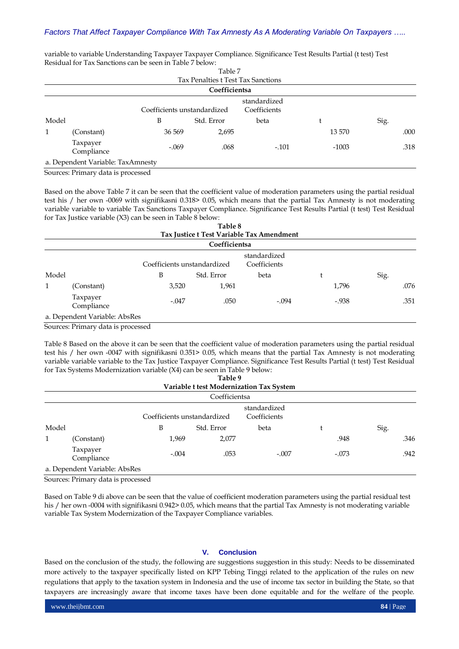|       |                                                  |                             | Table 7                            |                              |         |      |
|-------|--------------------------------------------------|-----------------------------|------------------------------------|------------------------------|---------|------|
|       |                                                  |                             | Tax Penalties t Test Tax Sanctions |                              |         |      |
|       |                                                  |                             | Coefficientsa                      |                              |         |      |
|       |                                                  | Coefficients unstandardized |                                    | standardized<br>Coefficients |         |      |
| Model |                                                  | B                           | Std. Error                         | beta                         |         | Sig. |
| 1     | (Constant)                                       | 36 569                      | 2,695                              |                              | 13 570  | .000 |
|       | Taxpayer<br>Compliance                           | $-.069$                     | .068                               | $-.101$                      | $-1003$ | .318 |
|       | a. Dependent Variable: TaxAmnesty                |                             |                                    |                              |         |      |
|       | $\alpha$ $\alpha$ , $\alpha$ $\alpha$ , $\alpha$ |                             |                                    |                              |         |      |

variable to variable Understanding Taxpayer Taxpayer Compliance. Significance Test Results Partial (t test) Test Residual for Tax Sanctions can be seen in Table 7 below: Table 7

Sources: Primary data is processed

Based on the above Table 7 it can be seen that the coefficient value of moderation parameters using the partial residual test his / her own -0069 with signifikasni 0.318> 0.05, which means that the partial Tax Amnesty is not moderating variable variable to variable Tax Sanctions Taxpayer Compliance. Significance Test Results Partial (t test) Test Residual for Tax Justice variable (X3) can be seen in Table 8 below:

|       |                                                                                                                                                                                                                                                                                                                                                                                      |                             | Table 8       |                                           |         |      |
|-------|--------------------------------------------------------------------------------------------------------------------------------------------------------------------------------------------------------------------------------------------------------------------------------------------------------------------------------------------------------------------------------------|-----------------------------|---------------|-------------------------------------------|---------|------|
|       |                                                                                                                                                                                                                                                                                                                                                                                      |                             |               | Tax Justice t Test Variable Tax Amendment |         |      |
|       |                                                                                                                                                                                                                                                                                                                                                                                      |                             | Coefficientsa |                                           |         |      |
|       |                                                                                                                                                                                                                                                                                                                                                                                      | Coefficients unstandardized |               | standardized<br>Coefficients              |         |      |
| Model |                                                                                                                                                                                                                                                                                                                                                                                      | B                           | Std. Error    | beta                                      |         | Sig. |
| 1     | (Constant)                                                                                                                                                                                                                                                                                                                                                                           | 3,520                       | 1,961         |                                           | 1,796   | .076 |
|       | Taxpayer<br>Compliance                                                                                                                                                                                                                                                                                                                                                               | $-.047$                     | .050          | $-.094$                                   | $-.938$ | .351 |
|       | a. Dependent Variable: AbsRes                                                                                                                                                                                                                                                                                                                                                        |                             |               |                                           |         |      |
|       | $\overline{c}$ $\overline{b}$ $\overline{c}$ $\overline{d}$ $\overline{c}$ $\overline{d}$ $\overline{d}$ $\overline{d}$ $\overline{d}$ $\overline{d}$ $\overline{d}$ $\overline{d}$ $\overline{d}$ $\overline{d}$ $\overline{d}$ $\overline{d}$ $\overline{d}$ $\overline{d}$ $\overline{d}$ $\overline{d}$ $\overline{d}$ $\overline{d}$ $\overline{d}$ $\overline{d}$ $\overline{$ |                             |               |                                           |         |      |

Sources: Primary data is processed

Table 8 Based on the above it can be seen that the coefficient value of moderation parameters using the partial residual test his / her own -0047 with signifikasni 0.351> 0.05, which means that the partial Tax Amnesty is not moderating variable variable variable to the Tax Justice Taxpayer Compliance. Significance Test Results Partial (t test) Test Residual for Tax Systems Modernization variable (X4) can be seen in Table 9 below:

|              |                                                |                             | Table 9       |                                          |         |      |
|--------------|------------------------------------------------|-----------------------------|---------------|------------------------------------------|---------|------|
|              |                                                |                             |               | Variable t test Modernization Tax System |         |      |
|              |                                                |                             | Coefficientsa |                                          |         |      |
|              |                                                | Coefficients unstandardized |               | standardized<br>Coefficients             |         |      |
| Model        |                                                | B                           | Std. Error    | beta                                     | t       | Sig. |
| $\mathbf{1}$ | (Constant)                                     | 1,969                       | 2,077         |                                          | .948    | .346 |
|              | Taxpayer<br>Compliance                         | $-.004$                     | .053          | $-.007$                                  | $-.073$ | .942 |
|              | a. Dependent Variable: AbsRes                  |                             |               |                                          |         |      |
|              | $\alpha$ $\alpha$ , $\alpha$ $\beta$ , $\beta$ |                             |               |                                          |         |      |

Sources: Primary data is processed

Based on Table 9 di above can be seen that the value of coefficient moderation parameters using the partial residual test his / her own -0004 with signifikasni 0.942> 0.05, which means that the partial Tax Amnesty is not moderating variable variable Tax System Modernization of the Taxpayer Compliance variables.

## **V. Conclusion**

Based on the conclusion of the study, the following are suggestions suggestion in this study: Needs to be disseminated more actively to the taxpayer specifically listed on KPP Tebing Tinggi related to the application of the rules on new regulations that apply to the taxation system in Indonesia and the use of income tax sector in building the State, so that taxpayers are increasingly aware that income taxes have been done equitable and for the welfare of the people.